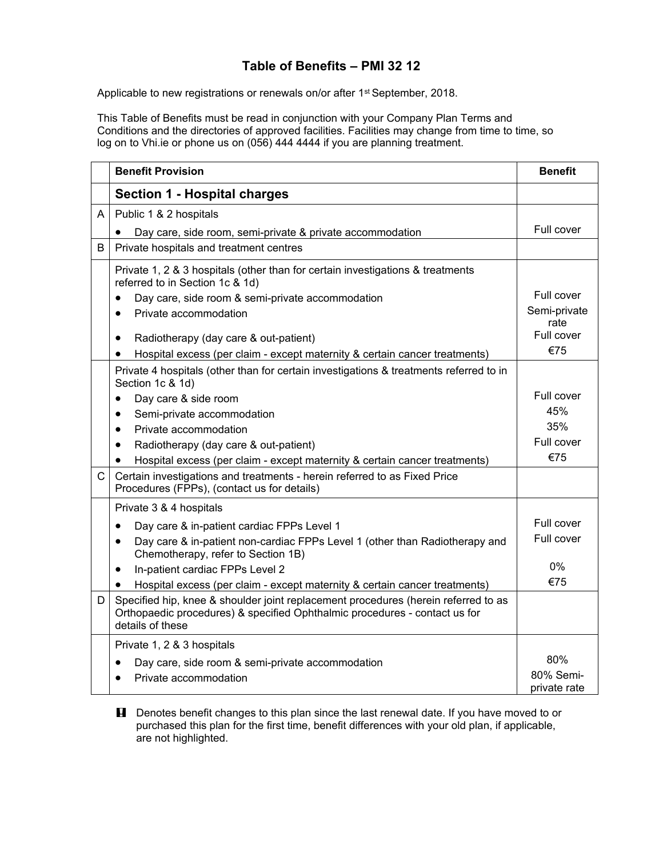## **Table of Benefits – PMI 32 12**

Applicable to new registrations or renewals on/or after 1<sup>st</sup> September, 2018.

This Table of Benefits must be read in conjunction with your Company Plan Terms and Conditions and the directories of approved facilities. Facilities may change from time to time, so log on to Vhi.ie or phone us on (056) 444 4444 if you are planning treatment.

|              | <b>Benefit Provision</b>                                                                                                                                                             | <b>Benefit</b>            |
|--------------|--------------------------------------------------------------------------------------------------------------------------------------------------------------------------------------|---------------------------|
|              | <b>Section 1 - Hospital charges</b>                                                                                                                                                  |                           |
| A            | Public 1 & 2 hospitals                                                                                                                                                               |                           |
|              | Day care, side room, semi-private & private accommodation                                                                                                                            | Full cover                |
| B            | Private hospitals and treatment centres                                                                                                                                              |                           |
|              | Private 1, 2 & 3 hospitals (other than for certain investigations & treatments<br>referred to in Section 1c & 1d)<br>Day care, side room & semi-private accommodation                | Full cover                |
|              | Private accommodation<br>$\bullet$                                                                                                                                                   | Semi-private              |
|              | Radiotherapy (day care & out-patient)<br>$\bullet$<br>Hospital excess (per claim - except maternity & certain cancer treatments)<br>٠                                                | rate<br>Full cover<br>€75 |
|              | Private 4 hospitals (other than for certain investigations & treatments referred to in<br>Section 1c & 1d)                                                                           |                           |
|              | Day care & side room                                                                                                                                                                 | Full cover                |
|              | Semi-private accommodation<br>$\bullet$                                                                                                                                              | 45%                       |
|              | Private accommodation<br>$\bullet$                                                                                                                                                   | 35%                       |
|              | Radiotherapy (day care & out-patient)<br>$\bullet$                                                                                                                                   | Full cover                |
|              | Hospital excess (per claim - except maternity & certain cancer treatments)                                                                                                           | €75                       |
| $\mathsf{C}$ | Certain investigations and treatments - herein referred to as Fixed Price<br>Procedures (FPPs), (contact us for details)                                                             |                           |
|              | Private 3 & 4 hospitals                                                                                                                                                              |                           |
|              | Day care & in-patient cardiac FPPs Level 1<br>$\bullet$                                                                                                                              | Full cover                |
|              | Day care & in-patient non-cardiac FPPs Level 1 (other than Radiotherapy and<br>$\bullet$<br>Chemotherapy, refer to Section 1B)                                                       | Full cover                |
|              | In-patient cardiac FPPs Level 2<br>$\bullet$                                                                                                                                         | 0%                        |
|              | Hospital excess (per claim - except maternity & certain cancer treatments)                                                                                                           | €75                       |
| D            | Specified hip, knee & shoulder joint replacement procedures (herein referred to as<br>Orthopaedic procedures) & specified Ophthalmic procedures - contact us for<br>details of these |                           |
|              | Private 1, 2 & 3 hospitals                                                                                                                                                           |                           |
|              | Day care, side room & semi-private accommodation                                                                                                                                     | 80%                       |
|              | Private accommodation                                                                                                                                                                | 80% Semi-<br>private rate |

**H** Denotes benefit changes to this plan since the last renewal date. If you have moved to or purchased this plan for the first time, benefit differences with your old plan, if applicable, are not highlighted.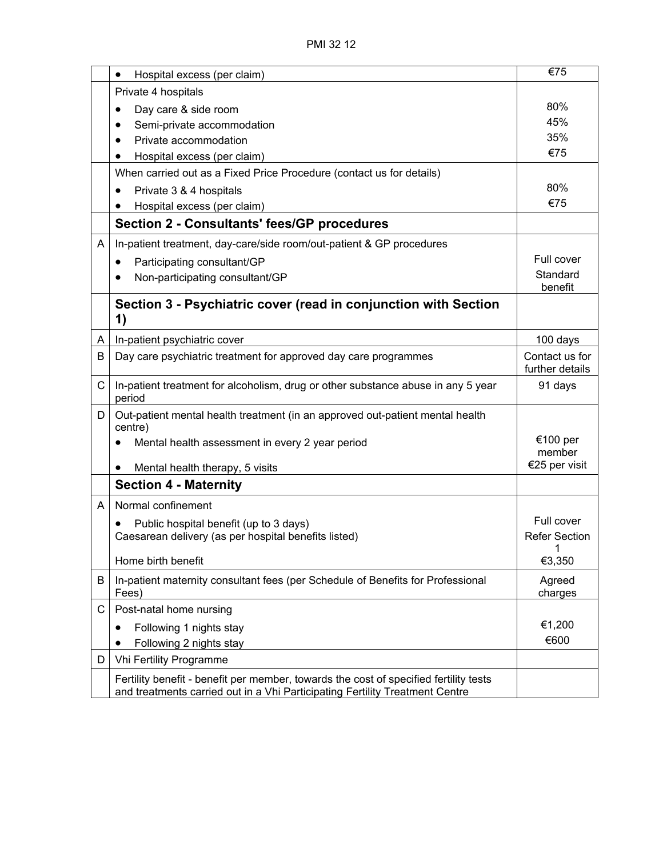|   | Hospital excess (per claim)<br>$\bullet$                                                   | €75                  |
|---|--------------------------------------------------------------------------------------------|----------------------|
|   | Private 4 hospitals                                                                        |                      |
|   | Day care & side room                                                                       | 80%                  |
|   | Semi-private accommodation                                                                 | 45%                  |
|   | Private accommodation                                                                      | 35%                  |
|   | Hospital excess (per claim)                                                                | €75                  |
|   | When carried out as a Fixed Price Procedure (contact us for details)                       |                      |
|   | Private 3 & 4 hospitals                                                                    | 80%                  |
|   | Hospital excess (per claim)                                                                | €75                  |
|   | Section 2 - Consultants' fees/GP procedures                                                |                      |
| A | In-patient treatment, day-care/side room/out-patient & GP procedures                       |                      |
|   | Participating consultant/GP<br>$\bullet$                                                   | Full cover           |
|   | Non-participating consultant/GP                                                            | Standard             |
|   |                                                                                            | benefit              |
|   | Section 3 - Psychiatric cover (read in conjunction with Section<br>1)                      |                      |
| A | In-patient psychiatric cover                                                               | 100 days             |
| В | Day care psychiatric treatment for approved day care programmes                            | Contact us for       |
|   |                                                                                            | further details      |
| C | In-patient treatment for alcoholism, drug or other substance abuse in any 5 year<br>period | 91 days              |
| D | Out-patient mental health treatment (in an approved out-patient mental health<br>centre)   |                      |
|   | Mental health assessment in every 2 year period                                            | €100 per<br>member   |
|   | Mental health therapy, 5 visits<br>$\bullet$                                               | €25 per visit        |
|   | <b>Section 4 - Maternity</b>                                                               |                      |
| A | Normal confinement                                                                         |                      |
|   | Public hospital benefit (up to 3 days)                                                     | Full cover           |
|   | Caesarean delivery (as per hospital benefits listed)                                       | <b>Refer Section</b> |
|   |                                                                                            | $\overline{1}$       |
|   | Home birth benefit                                                                         | €3,350               |
| B | In-patient maternity consultant fees (per Schedule of Benefits for Professional<br>Fees)   | Agreed<br>charges    |
| С | Post-natal home nursing                                                                    |                      |
|   | Following 1 nights stay                                                                    | €1,200               |
|   | Following 2 nights stay                                                                    | €600                 |
| D | <b>Vhi Fertility Programme</b>                                                             |                      |
|   | Fertility benefit - benefit per member, towards the cost of specified fertility tests      |                      |
|   | and treatments carried out in a Vhi Participating Fertility Treatment Centre               |                      |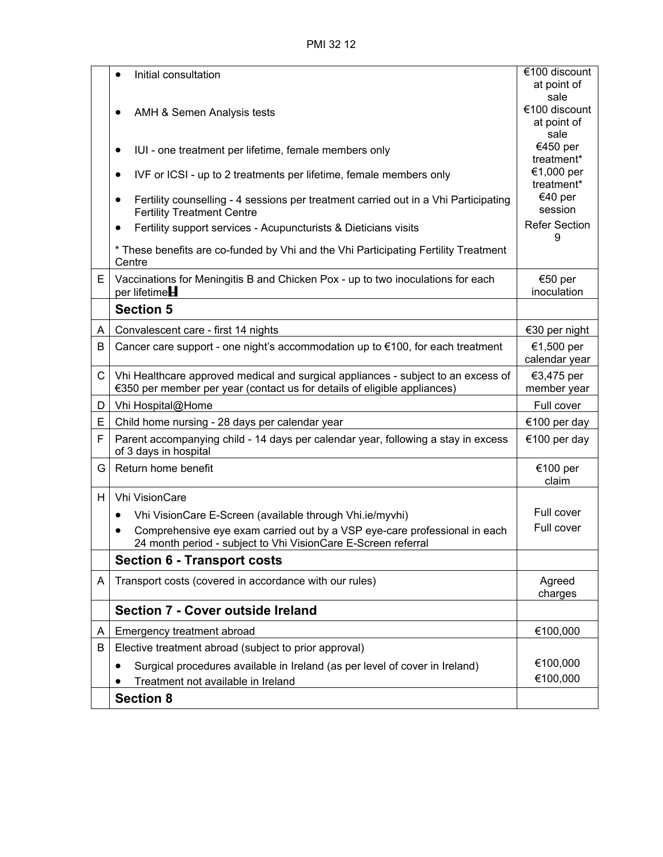PMI 32 12

|   | Initial consultation                                                                                                                       | €100 discount               |
|---|--------------------------------------------------------------------------------------------------------------------------------------------|-----------------------------|
|   |                                                                                                                                            | at point of<br>sale         |
|   | AMH & Semen Analysis tests                                                                                                                 | €100 discount               |
|   |                                                                                                                                            | at point of<br>sale         |
|   | IUI - one treatment per lifetime, female members only                                                                                      | €450 per                    |
|   |                                                                                                                                            | treatment*                  |
|   | IVF or ICSI - up to 2 treatments per lifetime, female members only<br>$\bullet$                                                            | €1,000 per<br>treatment*    |
|   | Fertility counselling - 4 sessions per treatment carried out in a Vhi Participating                                                        | €40 per                     |
|   | <b>Fertility Treatment Centre</b>                                                                                                          | session                     |
|   | Fertility support services - Acupuncturists & Dieticians visits<br>$\bullet$                                                               | <b>Refer Section</b><br>9   |
|   | * These benefits are co-funded by Vhi and the Vhi Participating Fertility Treatment<br>Centre                                              |                             |
| E | Vaccinations for Meningitis B and Chicken Pox - up to two inoculations for each<br>per lifetime $H$                                        | €50 per<br>inoculation      |
|   | <b>Section 5</b>                                                                                                                           |                             |
| A | Convalescent care - first 14 nights                                                                                                        | €30 per night               |
| B | Cancer care support - one night's accommodation up to €100, for each treatment                                                             | €1,500 per<br>calendar year |
| C | Vhi Healthcare approved medical and surgical appliances - subject to an excess of                                                          | €3,475 per                  |
|   | €350 per member per year (contact us for details of eligible appliances)                                                                   | member year                 |
| D | Vhi Hospital@Home                                                                                                                          | Full cover                  |
| Ε | Child home nursing - 28 days per calendar year                                                                                             | €100 per day                |
| F | Parent accompanying child - 14 days per calendar year, following a stay in excess<br>of 3 days in hospital                                 | €100 per day                |
| G | Return home benefit                                                                                                                        | €100 per<br>claim           |
| H | <b>Vhi VisionCare</b>                                                                                                                      |                             |
|   | Vhi VisionCare E-Screen (available through Vhi.ie/myvhi)<br>$\bullet$                                                                      | Full cover                  |
|   | Comprehensive eye exam carried out by a VSP eye-care professional in each<br>24 month period - subject to Vhi VisionCare E-Screen referral | Full cover                  |
|   | <b>Section 6 - Transport costs</b>                                                                                                         |                             |
| A | Transport costs (covered in accordance with our rules)                                                                                     | Agreed                      |
|   |                                                                                                                                            | charges                     |
|   | <b>Section 7 - Cover outside Ireland</b>                                                                                                   |                             |
| A | Emergency treatment abroad                                                                                                                 | €100,000                    |
| B | Elective treatment abroad (subject to prior approval)                                                                                      |                             |
|   | Surgical procedures available in Ireland (as per level of cover in Ireland)<br>$\bullet$                                                   | €100,000                    |
|   | Treatment not available in Ireland                                                                                                         | €100,000                    |
|   | <b>Section 8</b>                                                                                                                           |                             |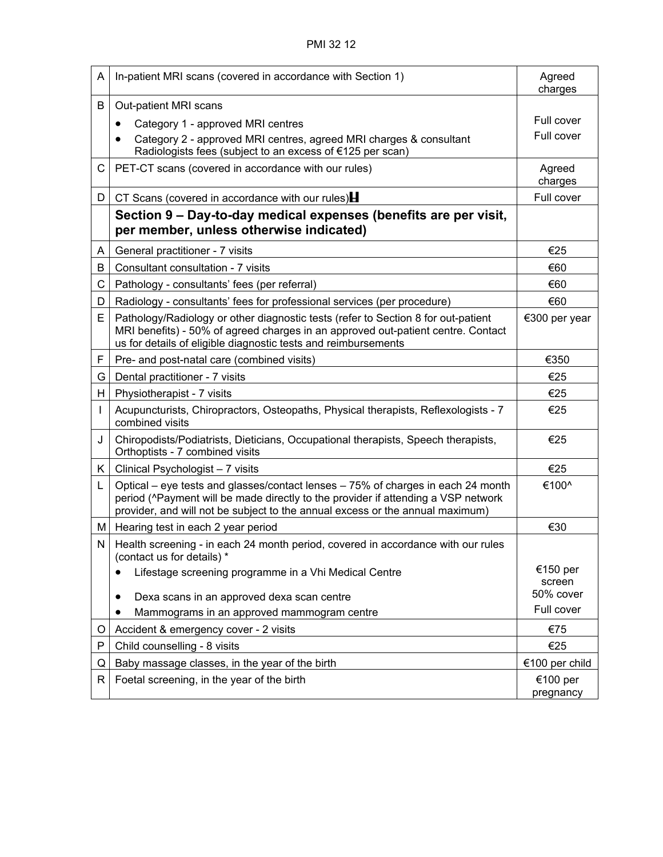| A  | In-patient MRI scans (covered in accordance with Section 1)                                                                                                                                                                                            | Agreed<br>charges   |
|----|--------------------------------------------------------------------------------------------------------------------------------------------------------------------------------------------------------------------------------------------------------|---------------------|
| B  | Out-patient MRI scans                                                                                                                                                                                                                                  |                     |
|    | Category 1 - approved MRI centres<br>٠                                                                                                                                                                                                                 | Full cover          |
|    | Category 2 - approved MRI centres, agreed MRI charges & consultant<br>Radiologists fees (subject to an excess of €125 per scan)                                                                                                                        | Full cover          |
| C. | PET-CT scans (covered in accordance with our rules)                                                                                                                                                                                                    | Agreed<br>charges   |
| D  | CT Scans (covered in accordance with our rules) $\blacksquare$                                                                                                                                                                                         | Full cover          |
|    | Section 9 – Day-to-day medical expenses (benefits are per visit,<br>per member, unless otherwise indicated)                                                                                                                                            |                     |
| A  | General practitioner - 7 visits                                                                                                                                                                                                                        | €25                 |
| В  | Consultant consultation - 7 visits                                                                                                                                                                                                                     | €60                 |
| С  | Pathology - consultants' fees (per referral)                                                                                                                                                                                                           | €60                 |
| D  | Radiology - consultants' fees for professional services (per procedure)                                                                                                                                                                                | €60                 |
| E. | Pathology/Radiology or other diagnostic tests (refer to Section 8 for out-patient<br>MRI benefits) - 50% of agreed charges in an approved out-patient centre. Contact<br>us for details of eligible diagnostic tests and reimbursements                | €300 per year       |
| F  | Pre- and post-natal care (combined visits)                                                                                                                                                                                                             | €350                |
| G  | Dental practitioner - 7 visits                                                                                                                                                                                                                         | €25                 |
| H  | Physiotherapist - 7 visits                                                                                                                                                                                                                             | €25                 |
|    | Acupuncturists, Chiropractors, Osteopaths, Physical therapists, Reflexologists - 7<br>combined visits                                                                                                                                                  | €25                 |
| J  | Chiropodists/Podiatrists, Dieticians, Occupational therapists, Speech therapists,<br>Orthoptists - 7 combined visits                                                                                                                                   | €25                 |
| K. | Clinical Psychologist - 7 visits                                                                                                                                                                                                                       | €25                 |
| Г  | Optical – eye tests and glasses/contact lenses – 75% of charges in each 24 month<br>period (^Payment will be made directly to the provider if attending a VSP network<br>provider, and will not be subject to the annual excess or the annual maximum) | €100^               |
| М  | Hearing test in each 2 year period                                                                                                                                                                                                                     | €30                 |
| N  | Health screening - in each 24 month period, covered in accordance with our rules<br>(contact us for details) *                                                                                                                                         |                     |
|    | Lifestage screening programme in a Vhi Medical Centre                                                                                                                                                                                                  | €150 per            |
|    | Dexa scans in an approved dexa scan centre<br>٠                                                                                                                                                                                                        | screen<br>50% cover |
|    | Mammograms in an approved mammogram centre                                                                                                                                                                                                             | Full cover          |
| O  | Accident & emergency cover - 2 visits                                                                                                                                                                                                                  | €75                 |
| P  | Child counselling - 8 visits                                                                                                                                                                                                                           | €25                 |
| Q  | Baby massage classes, in the year of the birth                                                                                                                                                                                                         | €100 per child      |
| R  | Foetal screening, in the year of the birth                                                                                                                                                                                                             | €100 per            |
|    |                                                                                                                                                                                                                                                        | pregnancy           |